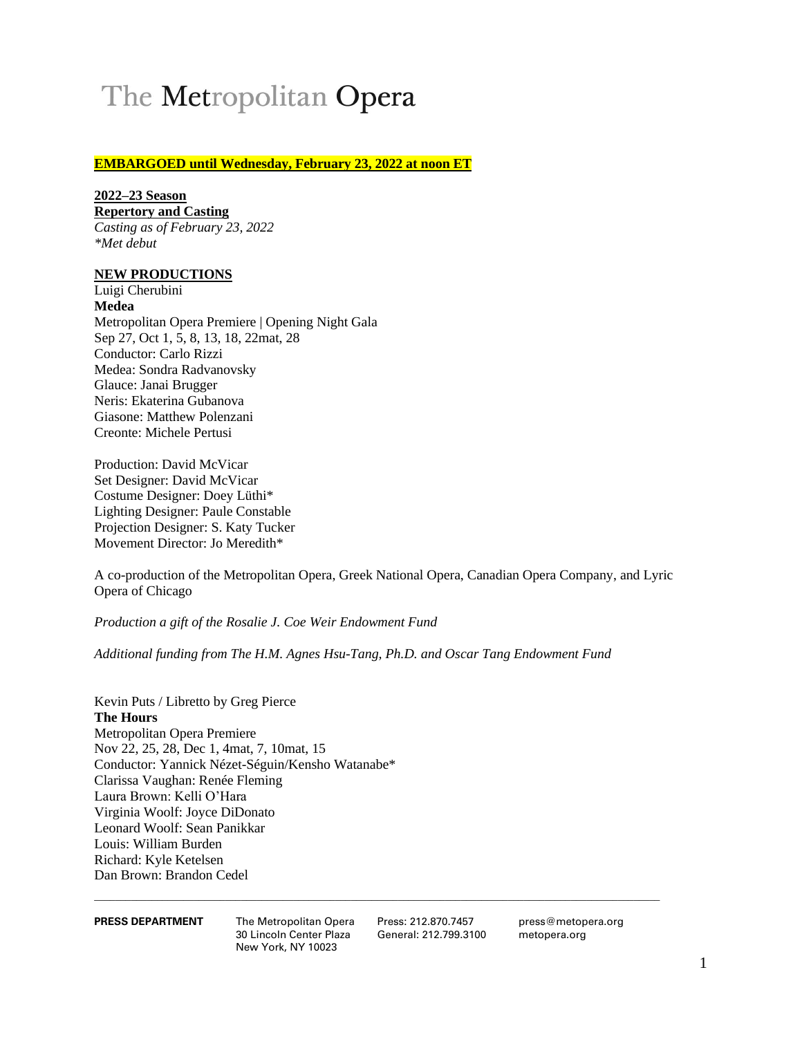# The Metropolitan Opera

# **EMBARGOED until Wednesday, February 23, 2022 at noon ET**

# **2022–23 Season**

**Repertory and Casting** 

*Casting as of February 23, 2022 \*Met debut*

# **NEW PRODUCTIONS**

Luigi Cherubini **Medea** Metropolitan Opera Premiere | Opening Night Gala Sep 27, Oct 1, 5, 8, 13, 18, 22mat, 28 Conductor: Carlo Rizzi Medea: Sondra Radvanovsky Glauce: Janai Brugger Neris: Ekaterina Gubanova Giasone: Matthew Polenzani Creonte: Michele Pertusi

Production: David McVicar Set Designer: David McVicar Costume Designer: Doey Lüthi\* Lighting Designer: Paule Constable Projection Designer: S. Katy Tucker Movement Director: Jo Meredith\*

A co-production of the Metropolitan Opera, Greek National Opera, Canadian Opera Company, and Lyric Opera of Chicago

*Production a gift of the Rosalie J. Coe Weir Endowment Fund*

*Additional funding from The H.M. Agnes Hsu-Tang, Ph.D. and Oscar Tang Endowment Fund*

Kevin Puts / Libretto by Greg Pierce **The Hours** Metropolitan Opera Premiere Nov 22, 25, 28, Dec 1, 4mat, 7, 10mat, 15 Conductor: Yannick Nézet-Séguin/Kensho Watanabe\* Clarissa Vaughan: Renée Fleming Laura Brown: Kelli O'Hara Virginia Woolf: Joyce DiDonato Leonard Woolf: Sean Panikkar Louis: William Burden Richard: Kyle Ketelsen Dan Brown: Brandon Cedel

30 Lincoln Center Plaza General: 212.799.3100 metopera.org New York, NY 10023

**PRESS DEPARTMENT** The Metropolitan Opera Press: 212.870.7457 press@metopera.org<br>30 Lincoln Center Plaza General: 212.799.3100 metopera.org

 $\_$  ,  $\_$  ,  $\_$  ,  $\_$  ,  $\_$  ,  $\_$  ,  $\_$  ,  $\_$  ,  $\_$  ,  $\_$  ,  $\_$  ,  $\_$  ,  $\_$  ,  $\_$  ,  $\_$  ,  $\_$  ,  $\_$  ,  $\_$  ,  $\_$  ,  $\_$  ,  $\_$  ,  $\_$  ,  $\_$  ,  $\_$  ,  $\_$  ,  $\_$  ,  $\_$  ,  $\_$  ,  $\_$  ,  $\_$  ,  $\_$  ,  $\_$  ,  $\_$  ,  $\_$  ,  $\_$  ,  $\_$  ,  $\_$  ,

1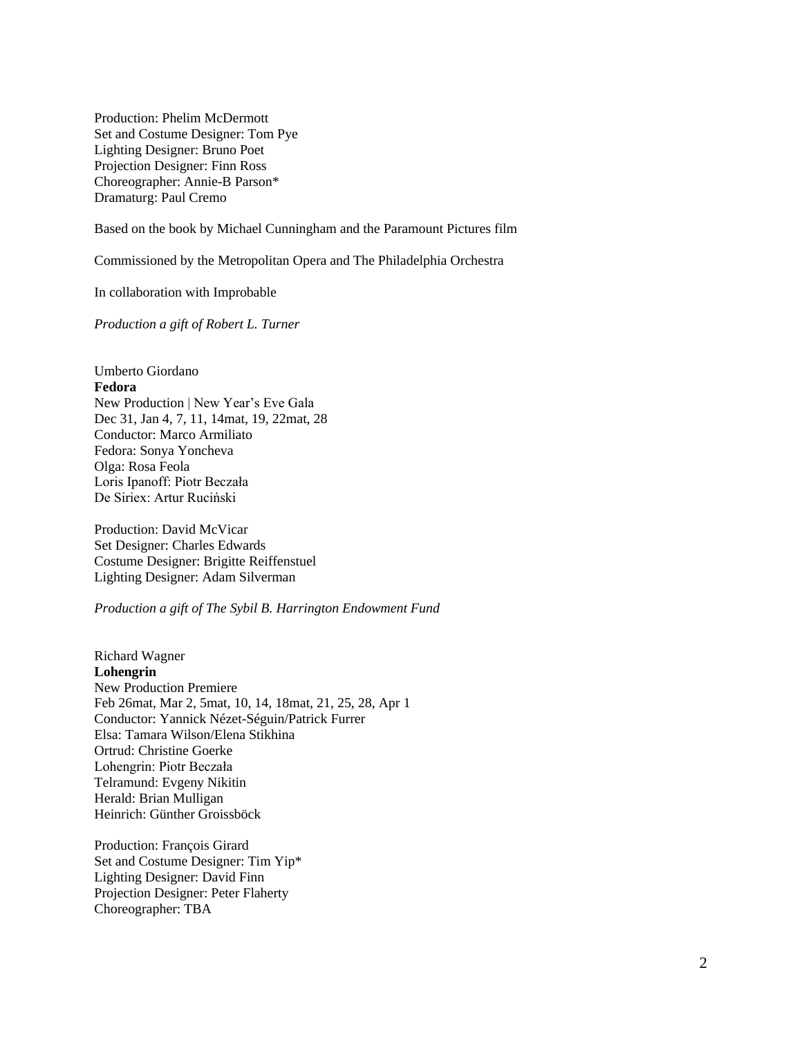Production: Phelim McDermott Set and Costume Designer: Tom Pye Lighting Designer: Bruno Poet Projection Designer: Finn Ross Choreographer: Annie-B Parson\* Dramaturg: Paul Cremo

Based on the book by Michael Cunningham and the Paramount Pictures film

Commissioned by the Metropolitan Opera and The Philadelphia Orchestra

In collaboration with Improbable

*Production a gift of Robert L. Turner*

Umberto Giordano **Fedora** New Production | New Year's Eve Gala Dec 31, Jan 4, 7, 11, 14mat, 19, 22mat, 28 Conductor: Marco Armiliato Fedora: Sonya Yoncheva Olga: Rosa Feola Loris Ipanoff: Piotr Beczała De Siriex: Artur Ruciński

Production: David McVicar Set Designer: Charles Edwards Costume Designer: Brigitte Reiffenstuel Lighting Designer: Adam Silverman

### *Production a gift of The Sybil B. Harrington Endowment Fund*

Richard Wagner **Lohengrin** New Production Premiere Feb 26mat, Mar 2, 5mat, 10, 14, 18mat, 21, 25, 28, Apr 1 Conductor: Yannick Nézet-Séguin/Patrick Furrer Elsa: Tamara Wilson/Elena Stikhina Ortrud: Christine Goerke Lohengrin: Piotr Beczała Telramund: Evgeny Nikitin Herald: Brian Mulligan Heinrich: Günther Groissböck

Production: François Girard Set and Costume Designer: Tim Yip\* Lighting Designer: David Finn Projection Designer: Peter Flaherty Choreographer: TBA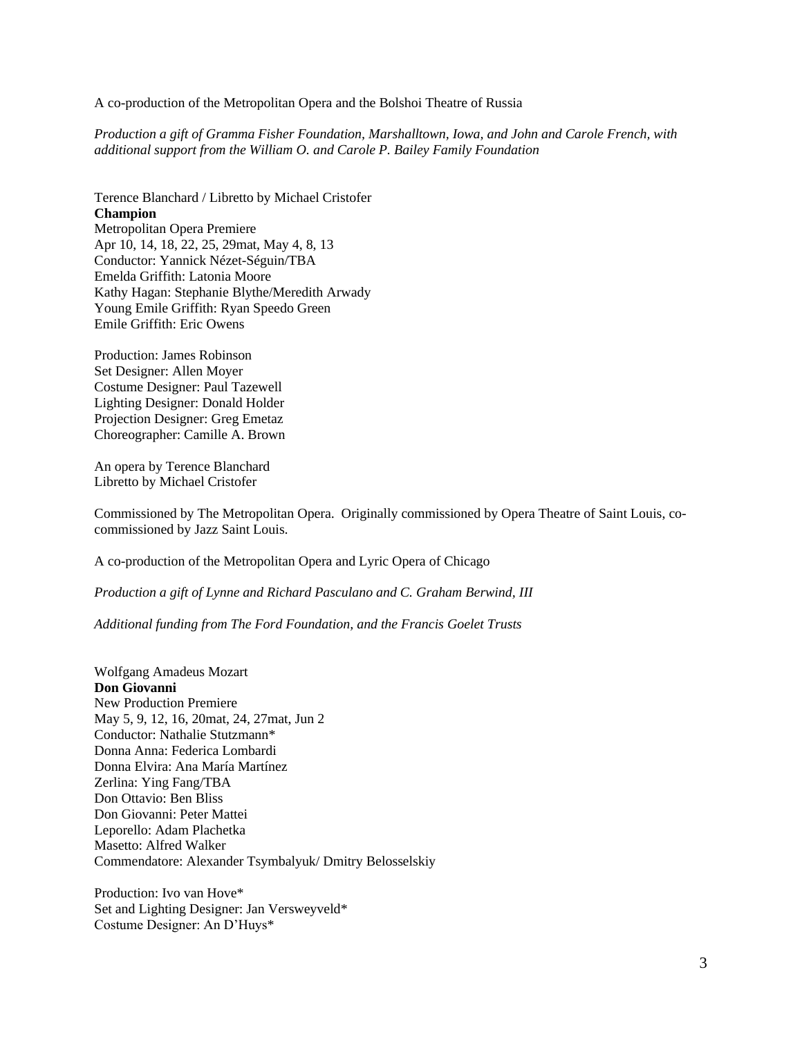A co-production of the Metropolitan Opera and the Bolshoi Theatre of Russia

*Production a gift of Gramma Fisher Foundation, Marshalltown, Iowa, and John and Carole French, with additional support from the William O. and Carole P. Bailey Family Foundation*

Terence Blanchard / Libretto by Michael Cristofer **Champion** Metropolitan Opera Premiere Apr 10, 14, 18, 22, 25, 29mat, May 4, 8, 13 Conductor: Yannick Nézet-Séguin/TBA Emelda Griffith: Latonia Moore Kathy Hagan: Stephanie Blythe/Meredith Arwady Young Emile Griffith: Ryan Speedo Green Emile Griffith: Eric Owens

Production: James Robinson Set Designer: Allen Moyer Costume Designer: Paul Tazewell Lighting Designer: Donald Holder Projection Designer: Greg Emetaz Choreographer: Camille A. Brown

An opera by Terence Blanchard Libretto by Michael Cristofer

Commissioned by The Metropolitan Opera. Originally commissioned by Opera Theatre of Saint Louis, cocommissioned by Jazz Saint Louis.

A co-production of the Metropolitan Opera and Lyric Opera of Chicago

*Production a gift of Lynne and Richard Pasculano and C. Graham Berwind, III*

*Additional funding from The Ford Foundation, and the Francis Goelet Trusts*

Wolfgang Amadeus Mozart **Don Giovanni** New Production Premiere May 5, 9, 12, 16, 20mat, 24, 27mat, Jun 2 Conductor: Nathalie Stutzmann\* Donna Anna: Federica Lombardi Donna Elvira: Ana María Martínez Zerlina: Ying Fang/TBA Don Ottavio: Ben Bliss Don Giovanni: Peter Mattei Leporello: Adam Plachetka Masetto: Alfred Walker Commendatore: Alexander Tsymbalyuk/ Dmitry Belosselskiy

Production: Ivo van Hove\* Set and Lighting Designer: Jan Versweyveld\* Costume Designer: An D'Huys\*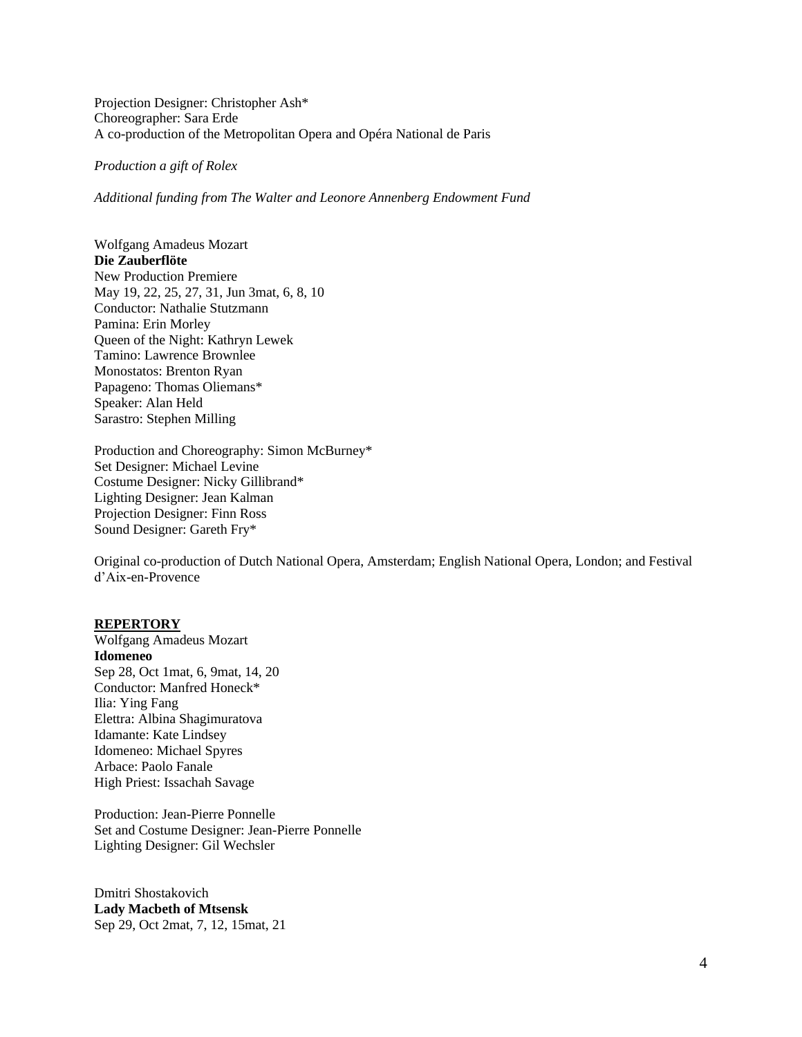Projection Designer: Christopher Ash\* Choreographer: Sara Erde A co-production of the Metropolitan Opera and Opéra National de Paris

*Production a gift of Rolex*

*Additional funding from The Walter and Leonore Annenberg Endowment Fund*

Wolfgang Amadeus Mozart **Die Zauberflöte** New Production Premiere May 19, 22, 25, 27, 31, Jun 3mat, 6, 8, 10 Conductor: Nathalie Stutzmann Pamina: Erin Morley Queen of the Night: Kathryn Lewek Tamino: Lawrence Brownlee Monostatos: Brenton Ryan Papageno: Thomas Oliemans\* Speaker: Alan Held Sarastro: Stephen Milling

Production and Choreography: Simon McBurney\* Set Designer: Michael Levine Costume Designer: Nicky Gillibrand\* Lighting Designer: Jean Kalman Projection Designer: Finn Ross Sound Designer: Gareth Fry\*

Original co-production of Dutch National Opera, Amsterdam; English National Opera, London; and Festival d'Aix-en-Provence

### **REPERTORY**

Wolfgang Amadeus Mozart **Idomeneo** Sep 28, Oct 1mat, 6, 9mat, 14, 20 Conductor: Manfred Honeck\* Ilia: Ying Fang Elettra: Albina Shagimuratova Idamante: Kate Lindsey Idomeneo: Michael Spyres Arbace: Paolo Fanale High Priest: Issachah Savage

Production: Jean-Pierre Ponnelle Set and Costume Designer: Jean-Pierre Ponnelle Lighting Designer: Gil Wechsler

Dmitri Shostakovich **Lady Macbeth of Mtsensk** Sep 29, Oct 2mat, 7, 12, 15mat, 21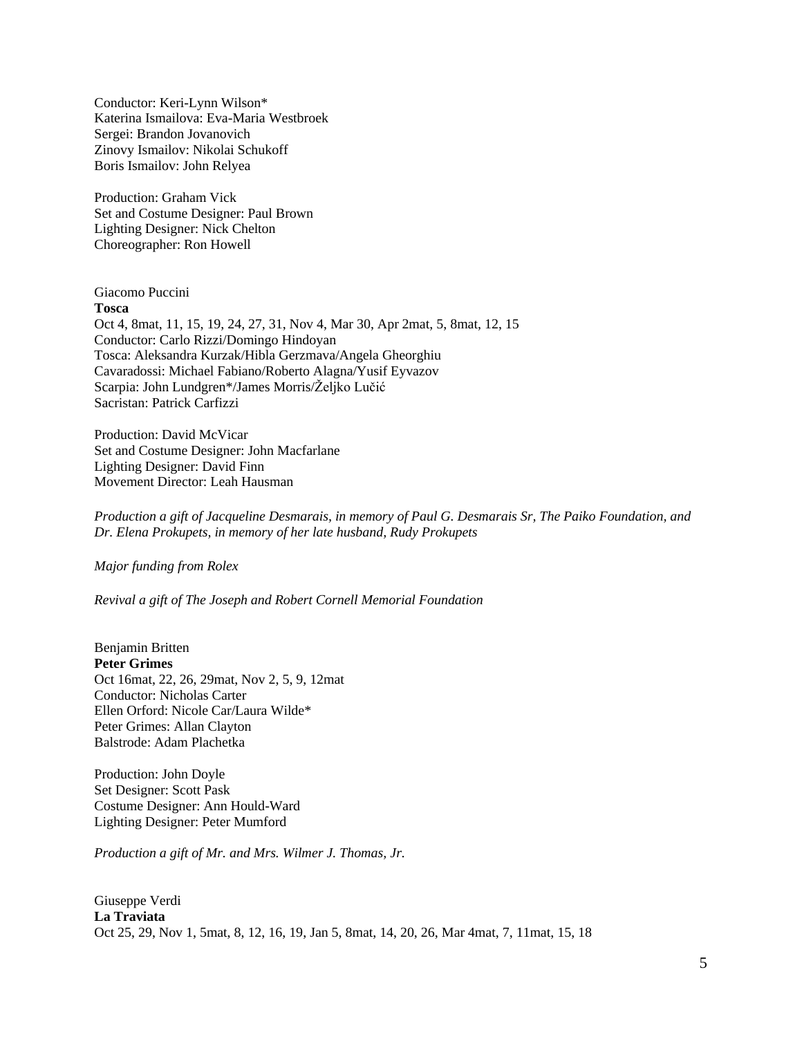Conductor: Keri-Lynn Wilson\* Katerina Ismailova: Eva-Maria Westbroek Sergei: Brandon Jovanovich Zinovy Ismailov: Nikolai Schukoff Boris Ismailov: John Relyea

Production: Graham Vick Set and Costume Designer: Paul Brown Lighting Designer: Nick Chelton Choreographer: Ron Howell

Giacomo Puccini **Tosca** Oct 4, 8mat, 11, 15, 19, 24, 27, 31, Nov 4, Mar 30, Apr 2mat, 5, 8mat, 12, 15 Conductor: Carlo Rizzi/Domingo Hindoyan Tosca: Aleksandra Kurzak/Hibla Gerzmava/Angela Gheorghiu Cavaradossi: Michael Fabiano/Roberto Alagna/Yusif Eyvazov Scarpia: John Lundgren\*/James Morris/Željko Lučić Sacristan: Patrick Carfizzi

Production: David McVicar Set and Costume Designer: John Macfarlane Lighting Designer: David Finn Movement Director: Leah Hausman

*Production a gift of Jacqueline Desmarais, in memory of Paul G. Desmarais Sr, The Paiko Foundation, and Dr. Elena Prokupets, in memory of her late husband, Rudy Prokupets*

*Major funding from Rolex*

*Revival a gift of The Joseph and Robert Cornell Memorial Foundation*

Benjamin Britten **Peter Grimes** Oct 16mat, 22, 26, 29mat, Nov 2, 5, 9, 12mat Conductor: Nicholas Carter Ellen Orford: Nicole Car/Laura Wilde\* Peter Grimes: Allan Clayton Balstrode: Adam Plachetka

Production: John Doyle Set Designer: Scott Pask Costume Designer: Ann Hould-Ward Lighting Designer: Peter Mumford

*Production a gift of Mr. and Mrs. Wilmer J. Thomas, Jr.*

Giuseppe Verdi **La Traviata** Oct 25, 29, Nov 1, 5mat, 8, 12, 16, 19, Jan 5, 8mat, 14, 20, 26, Mar 4mat, 7, 11mat, 15, 18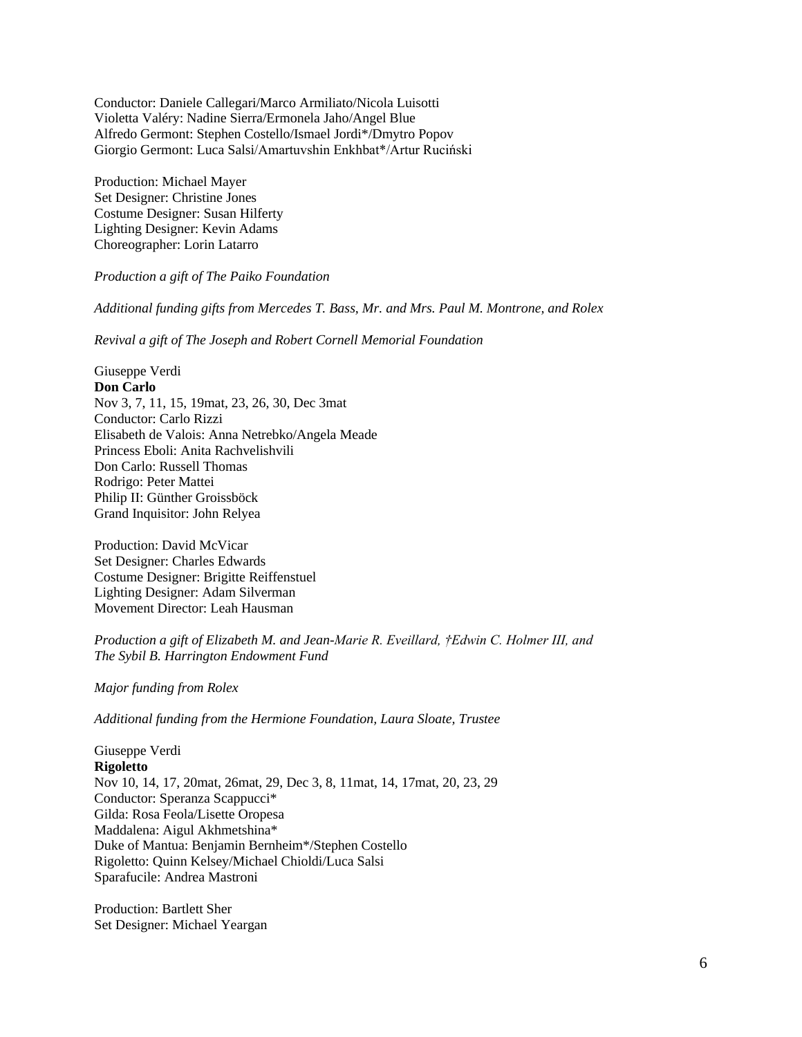Conductor: Daniele Callegari/Marco Armiliato/Nicola Luisotti Violetta Valéry: Nadine Sierra/Ermonela Jaho/Angel Blue Alfredo Germont: Stephen Costello/Ismael Jordi\*/Dmytro Popov Giorgio Germont: Luca Salsi/Amartuvshin Enkhbat\*/Artur Ruciński

Production: Michael Mayer Set Designer: Christine Jones Costume Designer: Susan Hilferty Lighting Designer: Kevin Adams Choreographer: Lorin Latarro

#### *Production a gift of The Paiko Foundation*

*Additional funding gifts from Mercedes T. Bass, Mr. and Mrs. Paul M. Montrone, and Rolex* 

*Revival a gift of The Joseph and Robert Cornell Memorial Foundation*

Giuseppe Verdi **Don Carlo** Nov 3, 7, 11, 15, 19mat, 23, 26, 30, Dec 3mat Conductor: Carlo Rizzi Elisabeth de Valois: Anna Netrebko/Angela Meade Princess Eboli: Anita Rachvelishvili Don Carlo: Russell Thomas Rodrigo: Peter Mattei Philip II: Günther Groissböck Grand Inquisitor: John Relyea

Production: David McVicar Set Designer: Charles Edwards Costume Designer: Brigitte Reiffenstuel Lighting Designer: Adam Silverman Movement Director: Leah Hausman

*Production a gift of Elizabeth M. and Jean-Marie R. Eveillard, †Edwin C. Holmer III, and The Sybil B. Harrington Endowment Fund*

*Major funding from Rolex*

*Additional funding from the Hermione Foundation, Laura Sloate, Trustee*

Giuseppe Verdi **Rigoletto** Nov 10, 14, 17, 20mat, 26mat, 29, Dec 3, 8, 11mat, 14, 17mat, 20, 23, 29 Conductor: Speranza Scappucci\* Gilda: Rosa Feola/Lisette Oropesa Maddalena: Aigul Akhmetshina\* Duke of Mantua: Benjamin Bernheim\*/Stephen Costello Rigoletto: Quinn Kelsey/Michael Chioldi/Luca Salsi Sparafucile: Andrea Mastroni

Production: Bartlett Sher Set Designer: Michael Yeargan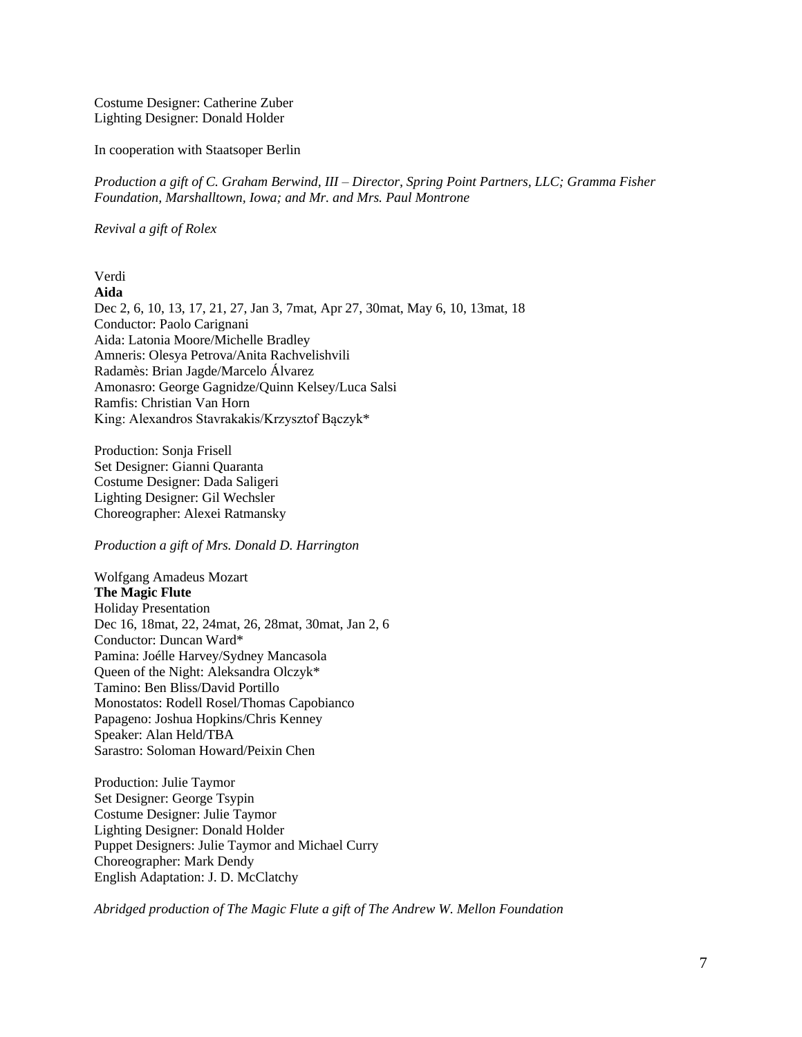Costume Designer: Catherine Zuber Lighting Designer: Donald Holder

In cooperation with Staatsoper Berlin

*Production a gift of C. Graham Berwind, III – Director, Spring Point Partners, LLC; Gramma Fisher Foundation, Marshalltown, Iowa; and Mr. and Mrs. Paul Montrone*

*Revival a gift of Rolex*

#### Verdi **Aida**

Dec 2, 6, 10, 13, 17, 21, 27, Jan 3, 7mat, Apr 27, 30mat, May 6, 10, 13mat, 18 Conductor: Paolo Carignani Aida: Latonia Moore/Michelle Bradley Amneris: Olesya Petrova/Anita Rachvelishvili Radamès: Brian Jagde/Marcelo Álvarez Amonasro: George Gagnidze/Quinn Kelsey/Luca Salsi Ramfis: Christian Van Horn King: Alexandros Stavrakakis/Krzysztof Bączyk\*

Production: Sonja Frisell Set Designer: Gianni Quaranta Costume Designer: Dada Saligeri Lighting Designer: Gil Wechsler Choreographer: Alexei Ratmansky

*Production a gift of Mrs. Donald D. Harrington*

Wolfgang Amadeus Mozart **The Magic Flute** Holiday Presentation Dec 16, 18mat, 22, 24mat, 26, 28mat, 30mat, Jan 2, 6 Conductor: Duncan Ward\* Pamina: Joélle Harvey/Sydney Mancasola Queen of the Night: Aleksandra Olczyk\* Tamino: Ben Bliss/David Portillo Monostatos: Rodell Rosel/Thomas Capobianco Papageno: Joshua Hopkins/Chris Kenney Speaker: Alan Held/TBA Sarastro: Soloman Howard/Peixin Chen

Production: Julie Taymor Set Designer: George Tsypin Costume Designer: Julie Taymor Lighting Designer: Donald Holder Puppet Designers: Julie Taymor and Michael Curry Choreographer: Mark Dendy English Adaptation: J. D. McClatchy

*Abridged production of The Magic Flute a gift of The Andrew W. Mellon Foundation*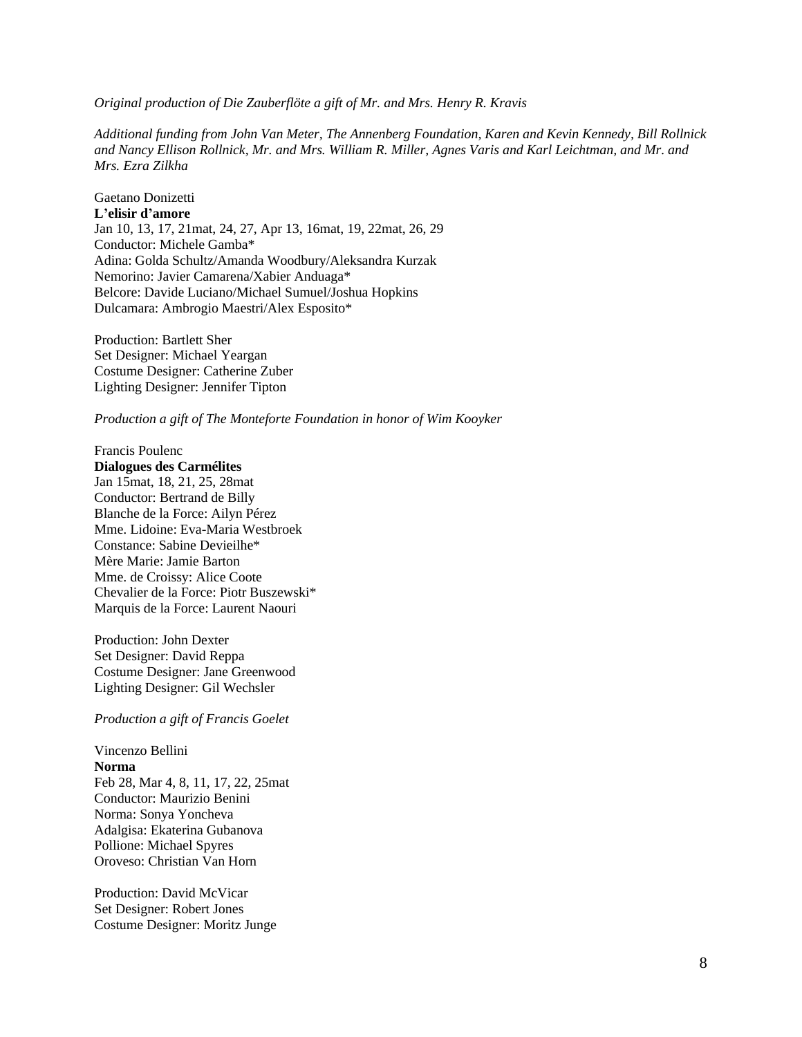*Original production of Die Zauberflöte a gift of Mr. and Mrs. Henry R. Kravis*

*Additional funding from John Van Meter, The Annenberg Foundation, Karen and Kevin Kennedy, Bill Rollnick and Nancy Ellison Rollnick, Mr. and Mrs. William R. Miller, Agnes Varis and Karl Leichtman, and Mr. and Mrs. Ezra Zilkha*

Gaetano Donizetti **L'elisir d'amore** Jan 10, 13, 17, 21mat, 24, 27, Apr 13, 16mat, 19, 22mat, 26, 29 Conductor: Michele Gamba\* Adina: Golda Schultz/Amanda Woodbury/Aleksandra Kurzak Nemorino: Javier Camarena/Xabier Anduaga\* Belcore: Davide Luciano/Michael Sumuel/Joshua Hopkins Dulcamara: Ambrogio Maestri/Alex Esposito\*

Production: Bartlett Sher Set Designer: Michael Yeargan Costume Designer: Catherine Zuber Lighting Designer: Jennifer Tipton

*Production a gift of The Monteforte Foundation in honor of Wim Kooyker*

Francis Poulenc **Dialogues des Carmélites** Jan 15mat, 18, 21, 25, 28mat Conductor: Bertrand de Billy Blanche de la Force: Ailyn Pérez Mme. Lidoine: Eva-Maria Westbroek Constance: Sabine Devieilhe\* Mère Marie: Jamie Barton Mme. de Croissy: Alice Coote Chevalier de la Force: Piotr Buszewski\* Marquis de la Force: Laurent Naouri

Production: John Dexter Set Designer: David Reppa Costume Designer: Jane Greenwood Lighting Designer: Gil Wechsler

*Production a gift of Francis Goelet*

# Vincenzo Bellini **Norma** Feb 28, Mar 4, 8, 11, 17, 22, 25mat Conductor: Maurizio Benini Norma: Sonya Yoncheva Adalgisa: Ekaterina Gubanova Pollione: Michael Spyres Oroveso: Christian Van Horn

Production: David McVicar Set Designer: Robert Jones Costume Designer: Moritz Junge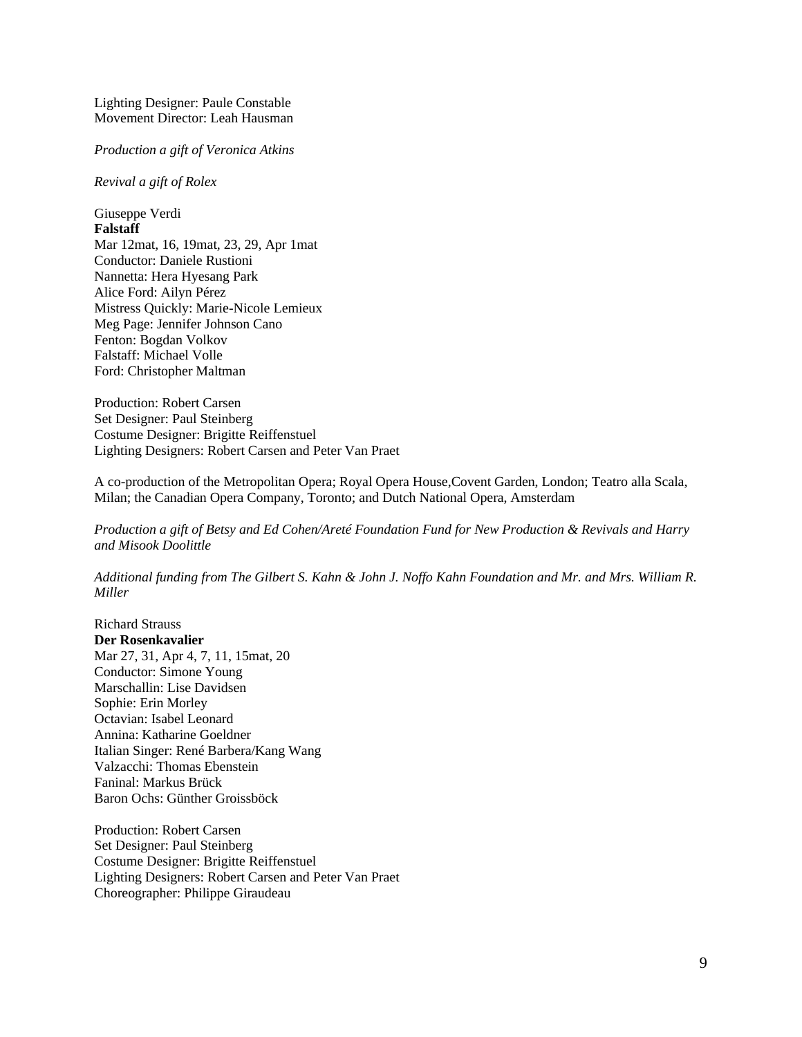Lighting Designer: Paule Constable Movement Director: Leah Hausman

*Production a gift of Veronica Atkins*

*Revival a gift of Rolex*

Giuseppe Verdi **Falstaff** Mar 12mat, 16, 19mat, 23, 29, Apr 1mat Conductor: Daniele Rustioni Nannetta: Hera Hyesang Park Alice Ford: Ailyn Pérez Mistress Quickly: Marie-Nicole Lemieux Meg Page: Jennifer Johnson Cano Fenton: Bogdan Volkov Falstaff: Michael Volle Ford: Christopher Maltman

Production: Robert Carsen Set Designer: Paul Steinberg Costume Designer: Brigitte Reiffenstuel Lighting Designers: Robert Carsen and Peter Van Praet

A co-production of the Metropolitan Opera; Royal Opera House,Covent Garden, London; Teatro alla Scala, Milan; the Canadian Opera Company, Toronto; and Dutch National Opera, Amsterdam

*Production a gift of Betsy and Ed Cohen/Areté Foundation Fund for New Production & Revivals and Harry and Misook Doolittle*

*Additional funding from The Gilbert S. Kahn & John J. Noffo Kahn Foundation and Mr. and Mrs. William R. Miller*

Richard Strauss **Der Rosenkavalier** Mar 27, 31, Apr 4, 7, 11, 15mat, 20 Conductor: Simone Young Marschallin: Lise Davidsen Sophie: Erin Morley Octavian: Isabel Leonard Annina: Katharine Goeldner Italian Singer: René Barbera/Kang Wang Valzacchi: Thomas Ebenstein Faninal: Markus Brück Baron Ochs: Günther Groissböck

Production: Robert Carsen Set Designer: Paul Steinberg Costume Designer: Brigitte Reiffenstuel Lighting Designers: Robert Carsen and Peter Van Praet Choreographer: Philippe Giraudeau